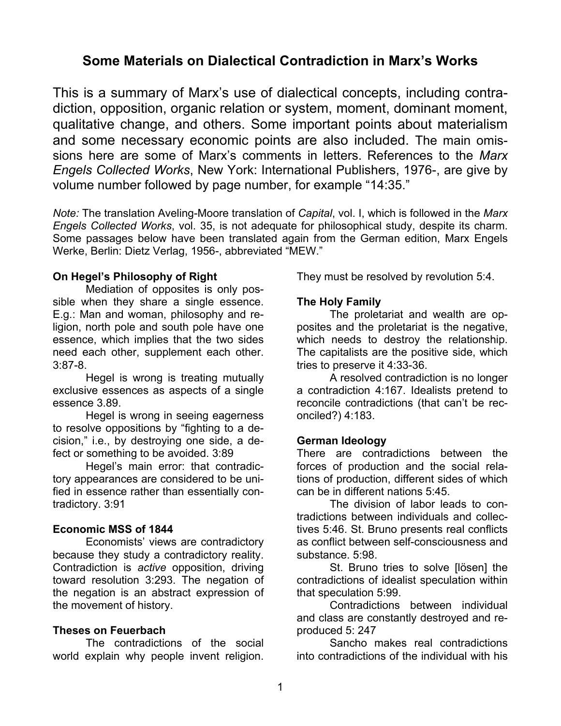# **Some Materials on Dialectical Contradiction in Marx's Works**

This is a summary of Marx's use of dialectical concepts, including contradiction, opposition, organic relation or system, moment, dominant moment, qualitative change, and others. Some important points about materialism and some necessary economic points are also included. The main omissions here are some of Marx's comments in letters. References to the *Marx Engels Collected Works*, New York: International Publishers, 1976-, are give by volume number followed by page number, for example "14:35."

*Note:* The translation Aveling-Moore translation of *Capital*, vol. I, which is followed in the *Marx Engels Collected Works*, vol. 35, is not adequate for philosophical study, despite its charm. Some passages below have been translated again from the German edition, Marx Engels Werke, Berlin: Dietz Verlag, 1956-, abbreviated "MEW."

## **On Hegel's Philosophy of Right**

Mediation of opposites is only possible when they share a single essence. E.g.: Man and woman, philosophy and religion, north pole and south pole have one essence, which implies that the two sides need each other, supplement each other. 3:87-8.

Hegel is wrong is treating mutually exclusive essences as aspects of a single essence 3.89.

Hegel is wrong in seeing eagerness to resolve oppositions by "fighting to a decision," i.e., by destroying one side, a defect or something to be avoided. 3:89

Hegel's main error: that contradictory appearances are considered to be unified in essence rather than essentially contradictory. 3:91

# **Economic MSS of 1844**

Economists' views are contradictory because they study a contradictory reality. Contradiction is *active* opposition, driving toward resolution 3:293. The negation of the negation is an abstract expression of the movement of history.

# **Theses on Feuerbach**

The contradictions of the social world explain why people invent religion.

They must be resolved by revolution 5:4.

## **The Holy Family**

The proletariat and wealth are opposites and the proletariat is the negative, which needs to destroy the relationship. The capitalists are the positive side, which tries to preserve it 4:33-36.

A resolved contradiction is no longer a contradiction 4:167. Idealists pretend to reconcile contradictions (that can't be reconciled?) 4:183.

#### **German Ideology**

There are contradictions between the forces of production and the social relations of production, different sides of which can be in different nations 5:45.

The division of labor leads to contradictions between individuals and collectives 5:46. St. Bruno presents real conflicts as conflict between self-consciousness and substance. 5:98.

St. Bruno tries to solve [lösen] the contradictions of idealist speculation within that speculation 5:99.

Contradictions between individual and class are constantly destroyed and reproduced 5: 247

Sancho makes real contradictions into contradictions of the individual with his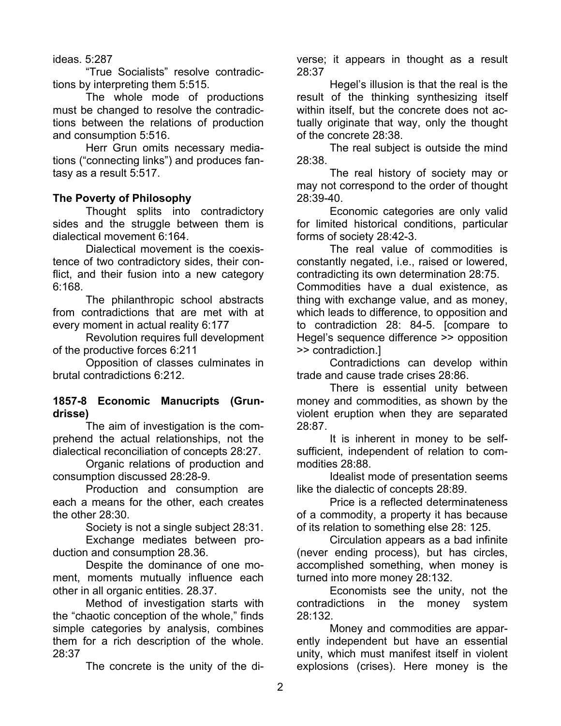#### ideas. 5:287

"True Socialists" resolve contradictions by interpreting them 5:515.

The whole mode of productions must be changed to resolve the contradictions between the relations of production and consumption 5:516.

Herr Grun omits necessary mediations ("connecting links") and produces fantasy as a result 5:517.

#### **The Poverty of Philosophy**

Thought splits into contradictory sides and the struggle between them is dialectical movement 6:164.

Dialectical movement is the coexistence of two contradictory sides, their conflict, and their fusion into a new category 6:168.

The philanthropic school abstracts from contradictions that are met with at every moment in actual reality 6:177

Revolution requires full development of the productive forces 6:211

Opposition of classes culminates in brutal contradictions 6:212.

#### **1857-8 Economic Manucripts (Grundrisse)**

The aim of investigation is the comprehend the actual relationships, not the dialectical reconciliation of concepts 28:27.

Organic relations of production and consumption discussed 28:28-9.

Production and consumption are each a means for the other, each creates the other 28:30.

Society is not a single subject 28:31.

Exchange mediates between production and consumption 28.36.

Despite the dominance of one moment, moments mutually influence each other in all organic entities. 28.37.

Method of investigation starts with the "chaotic conception of the whole," finds simple categories by analysis, combines them for a rich description of the whole. 28:37

The concrete is the unity of the di-

verse; it appears in thought as a result 28:37

Hegel's illusion is that the real is the result of the thinking synthesizing itself within itself, but the concrete does not actually originate that way, only the thought of the concrete 28:38.

The real subject is outside the mind 28:38.

The real history of society may or may not correspond to the order of thought 28:39-40.

Economic categories are only valid for limited historical conditions, particular forms of society 28:42-3.

The real value of commodities is constantly negated, i.e., raised or lowered, contradicting its own determination 28:75.

Commodities have a dual existence, as thing with exchange value, and as money, which leads to difference, to opposition and to contradiction 28: 84-5. [compare to Hegel's sequence difference >> opposition >> contradiction.]

Contradictions can develop within trade and cause trade crises 28:86.

There is essential unity between money and commodities, as shown by the violent eruption when they are separated 28:87.

It is inherent in money to be selfsufficient, independent of relation to commodities 28:88.

Idealist mode of presentation seems like the dialectic of concepts 28:89.

Price is a reflected determinateness of a commodity, a property it has because of its relation to something else 28: 125.

Circulation appears as a bad infinite (never ending process), but has circles, accomplished something, when money is turned into more money 28:132.

Economists see the unity, not the contradictions in the money system 28:132.

Money and commodities are apparently independent but have an essential unity, which must manifest itself in violent explosions (crises). Here money is the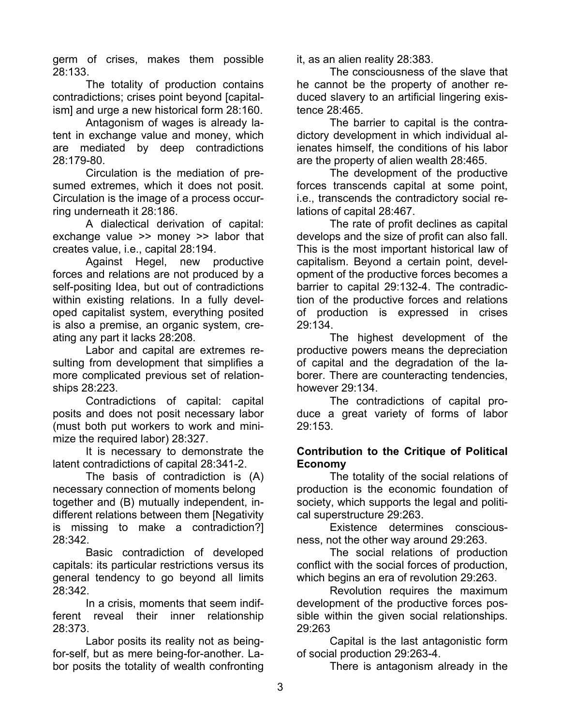germ of crises, makes them possible 28:133.

The totality of production contains contradictions; crises point beyond [capitalism] and urge a new historical form 28:160.

Antagonism of wages is already latent in exchange value and money, which are mediated by deep contradictions 28:179-80.

Circulation is the mediation of presumed extremes, which it does not posit. Circulation is the image of a process occurring underneath it 28:186.

A dialectical derivation of capital: exchange value >> money >> labor that creates value, i.e., capital 28:194.

Against Hegel, new productive forces and relations are not produced by a self-positing Idea, but out of contradictions within existing relations. In a fully developed capitalist system, everything posited is also a premise, an organic system, creating any part it lacks 28:208.

Labor and capital are extremes resulting from development that simplifies a more complicated previous set of relationships 28:223.

Contradictions of capital: capital posits and does not posit necessary labor (must both put workers to work and minimize the required labor) 28:327.

It is necessary to demonstrate the latent contradictions of capital 28:341-2.

The basis of contradiction is (A) necessary connection of moments belong together and (B) mutually independent, indifferent relations between them [Negativity is missing to make a contradiction?] 28:342.

Basic contradiction of developed capitals: its particular restrictions versus its general tendency to go beyond all limits 28:342.

In a crisis, moments that seem indifferent reveal their inner relationship 28:373.

Labor posits its reality not as beingfor-self, but as mere being-for-another. Labor posits the totality of wealth confronting it, as an alien reality 28:383.

The consciousness of the slave that he cannot be the property of another reduced slavery to an artificial lingering existence 28:465.

The barrier to capital is the contradictory development in which individual alienates himself, the conditions of his labor are the property of alien wealth 28:465.

The development of the productive forces transcends capital at some point, i.e., transcends the contradictory social relations of capital 28:467.

The rate of profit declines as capital develops and the size of profit can also fall. This is the most important historical law of capitalism. Beyond a certain point, development of the productive forces becomes a barrier to capital 29:132-4. The contradiction of the productive forces and relations of production is expressed in crises 29:134.

The highest development of the productive powers means the depreciation of capital and the degradation of the laborer. There are counteracting tendencies, however 29:134.

The contradictions of capital produce a great variety of forms of labor 29:153.

# **Contribution to the Critique of Political Economy**

The totality of the social relations of production is the economic foundation of society, which supports the legal and political superstructure 29:263.

Existence determines consciousness, not the other way around 29:263.

The social relations of production conflict with the social forces of production, which begins an era of revolution 29:263.

Revolution requires the maximum development of the productive forces possible within the given social relationships. 29:263

Capital is the last antagonistic form of social production 29:263-4.

There is antagonism already in the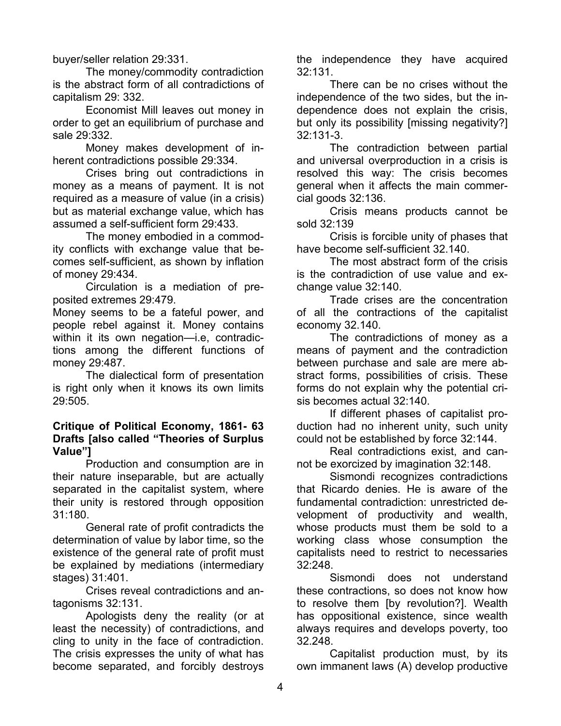buyer/seller relation 29:331.

The money/commodity contradiction is the abstract form of all contradictions of capitalism 29: 332.

Economist Mill leaves out money in order to get an equilibrium of purchase and sale 29:332.

Money makes development of inherent contradictions possible 29:334.

Crises bring out contradictions in money as a means of payment. It is not required as a measure of value (in a crisis) but as material exchange value, which has assumed a self-sufficient form 29:433.

The money embodied in a commodity conflicts with exchange value that becomes self-sufficient, as shown by inflation of money 29:434.

Circulation is a mediation of preposited extremes 29:479.

Money seems to be a fateful power, and people rebel against it. Money contains within it its own negation—i.e, contradictions among the different functions of money 29:487.

The dialectical form of presentation is right only when it knows its own limits 29:505.

## **Critique of Political Economy, 1861- 63 Drafts [also called "Theories of Surplus Value"]**

Production and consumption are in their nature inseparable, but are actually separated in the capitalist system, where their unity is restored through opposition 31:180.

General rate of profit contradicts the determination of value by labor time, so the existence of the general rate of profit must be explained by mediations (intermediary stages) 31:401.

Crises reveal contradictions and antagonisms 32:131.

Apologists deny the reality (or at least the necessity) of contradictions, and cling to unity in the face of contradiction. The crisis expresses the unity of what has become separated, and forcibly destroys

the independence they have acquired 32:131.

There can be no crises without the independence of the two sides, but the independence does not explain the crisis, but only its possibility [missing negativity?] 32:131-3.

The contradiction between partial and universal overproduction in a crisis is resolved this way: The crisis becomes general when it affects the main commercial goods 32:136.

Crisis means products cannot be sold 32:139

Crisis is forcible unity of phases that have become self-sufficient 32.140.

The most abstract form of the crisis is the contradiction of use value and exchange value 32:140.

Trade crises are the concentration of all the contractions of the capitalist economy 32.140.

The contradictions of money as a means of payment and the contradiction between purchase and sale are mere abstract forms, possibilities of crisis. These forms do not explain why the potential crisis becomes actual 32:140.

If different phases of capitalist production had no inherent unity, such unity could not be established by force 32:144.

Real contradictions exist, and cannot be exorcized by imagination 32:148.

Sismondi recognizes contradictions that Ricardo denies. He is aware of the fundamental contradiction: unrestricted development of productivity and wealth, whose products must them be sold to a working class whose consumption the capitalists need to restrict to necessaries 32:248.

Sismondi does not understand these contractions, so does not know how to resolve them [by revolution?]. Wealth has oppositional existence, since wealth always requires and develops poverty, too 32.248.

Capitalist production must, by its own immanent laws (A) develop productive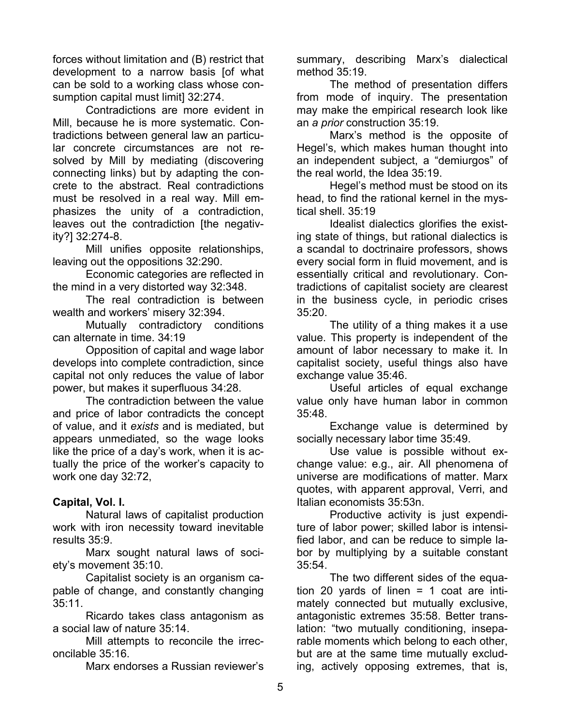forces without limitation and (B) restrict that development to a narrow basis [of what can be sold to a working class whose consumption capital must limit] 32:274.

Contradictions are more evident in Mill, because he is more systematic. Contradictions between general law an particular concrete circumstances are not resolved by Mill by mediating (discovering connecting links) but by adapting the concrete to the abstract. Real contradictions must be resolved in a real way. Mill emphasizes the unity of a contradiction, leaves out the contradiction [the negativity?] 32:274-8.

Mill unifies opposite relationships, leaving out the oppositions 32:290.

Economic categories are reflected in the mind in a very distorted way 32:348.

The real contradiction is between wealth and workers' misery 32:394.

Mutually contradictory conditions can alternate in time. 34:19

Opposition of capital and wage labor develops into complete contradiction, since capital not only reduces the value of labor power, but makes it superfluous 34:28.

The contradiction between the value and price of labor contradicts the concept of value, and it *exists* and is mediated, but appears unmediated, so the wage looks like the price of a day's work, when it is actually the price of the worker's capacity to work one day 32:72,

# **Capital, Vol. I.**

Natural laws of capitalist production work with iron necessity toward inevitable results 35:9.

Marx sought natural laws of society's movement 35:10.

Capitalist society is an organism capable of change, and constantly changing 35:11.

Ricardo takes class antagonism as a social law of nature 35:14.

Mill attempts to reconcile the irreconcilable 35:16.

Marx endorses a Russian reviewer's

summary, describing Marx's dialectical method 35:19.

The method of presentation differs from mode of inquiry. The presentation may make the empirical research look like an *a prior* construction 35:19.

Marx's method is the opposite of Hegel's, which makes human thought into an independent subject, a "demiurgos" of the real world, the Idea 35:19.

Hegel's method must be stood on its head, to find the rational kernel in the mystical shell. 35:19

Idealist dialectics glorifies the existing state of things, but rational dialectics is a scandal to doctrinaire professors, shows every social form in fluid movement, and is essentially critical and revolutionary. Contradictions of capitalist society are clearest in the business cycle, in periodic crises 35:20.

The utility of a thing makes it a use value. This property is independent of the amount of labor necessary to make it. In capitalist society, useful things also have exchange value 35:46.

Useful articles of equal exchange value only have human labor in common 35:48.

Exchange value is determined by socially necessary labor time 35:49.

Use value is possible without exchange value: e.g., air. All phenomena of universe are modifications of matter. Marx quotes, with apparent approval, Verri, and Italian economists 35:53n.

Productive activity is just expenditure of labor power; skilled labor is intensified labor, and can be reduce to simple labor by multiplying by a suitable constant 35:54.

The two different sides of the equation 20 yards of linen  $= 1$  coat are intimately connected but mutually exclusive, antagonistic extremes 35:58. Better translation: "two mutually conditioning, inseparable moments which belong to each other, but are at the same time mutually excluding, actively opposing extremes, that is,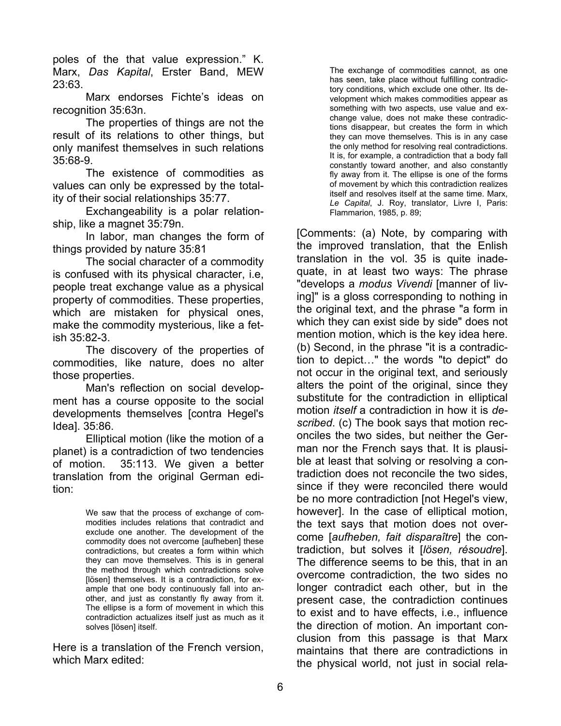poles of the that value expression." K. Marx, *Das Kapital*, Erster Band, MEW 23:63.

Marx endorses Fichte's ideas on recognition 35:63n.

The properties of things are not the result of its relations to other things, but only manifest themselves in such relations 35:68-9.

The existence of commodities as values can only be expressed by the totality of their social relationships 35:77.

Exchangeability is a polar relationship, like a magnet 35:79n.

In labor, man changes the form of things provided by nature 35:81

The social character of a commodity is confused with its physical character, i.e, people treat exchange value as a physical property of commodities. These properties, which are mistaken for physical ones, make the commodity mysterious, like a fetish 35:82-3.

The discovery of the properties of commodities, like nature, does no alter those properties.

Man's reflection on social development has a course opposite to the social developments themselves [contra Hegel's Idea]. 35:86.

Elliptical motion (like the motion of a planet) is a contradiction of two tendencies of motion. 35:113. We given a better translation from the original German edition:

> We saw that the process of exchange of commodities includes relations that contradict and exclude one another. The development of the commodity does not overcome [aufheben] these contradictions, but creates a form within which they can move themselves. This is in general the method through which contradictions solve [lösen] themselves. It is a contradiction, for example that one body continuously fall into another, and just as constantly fly away from it. The ellipse is a form of movement in which this contradiction actualizes itself just as much as it solves [lösen] itself.

Here is a translation of the French version, which Marx edited:

The exchange of commodities cannot, as one has seen, take place without fulfilling contradictory conditions, which exclude one other. Its development which makes commodities appear as something with two aspects, use value and exchange value, does not make these contradictions disappear, but creates the form in which they can move themselves. This is in any case the only method for resolving real contradictions. It is, for example, a contradiction that a body fall constantly toward another, and also constantly fly away from it. The ellipse is one of the forms of movement by which this contradiction realizes itself and resolves itself at the same time. Marx, *Le Capital*, J. Roy, translator, Livre I, Paris: Flammarion, 1985, p. 89;

[Comments: (a) Note, by comparing with the improved translation, that the Enlish translation in the vol. 35 is quite inadequate, in at least two ways: The phrase "develops a *modus Vivendi* [manner of living]" is a gloss corresponding to nothing in the original text, and the phrase "a form in which they can exist side by side" does not mention motion, which is the key idea here. (b) Second, in the phrase "it is a contradiction to depict…" the words "to depict" do not occur in the original text, and seriously alters the point of the original, since they substitute for the contradiction in elliptical motion *itself* a contradiction in how it is *described*. (c) The book says that motion reconciles the two sides, but neither the German nor the French says that. It is plausible at least that solving or resolving a contradiction does not reconcile the two sides, since if they were reconciled there would be no more contradiction [not Hegel's view, however]. In the case of elliptical motion, the text says that motion does not overcome [*aufheben, fait disparaître*] the contradiction, but solves it [*lösen, résoudre*]. The difference seems to be this, that in an overcome contradiction, the two sides no longer contradict each other, but in the present case, the contradiction continues to exist and to have effects, i.e., influence the direction of motion. An important conclusion from this passage is that Marx maintains that there are contradictions in the physical world, not just in social rela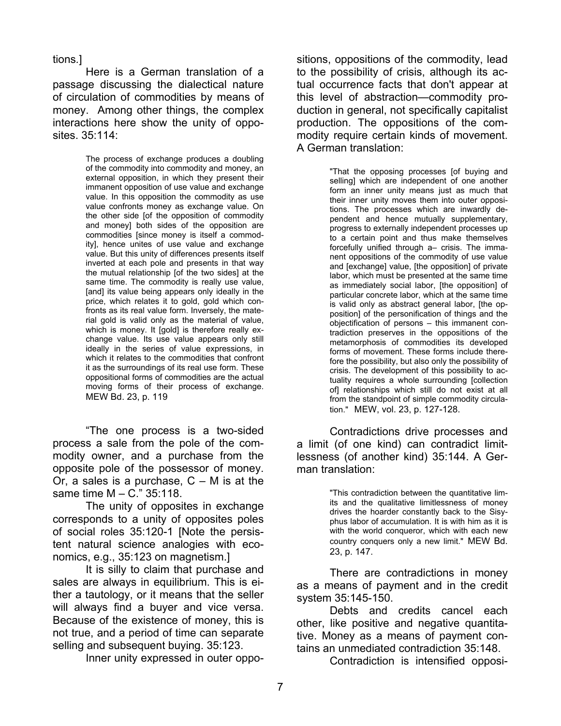tions*.*]

Here is a German translation of a passage discussing the dialectical nature of circulation of commodities by means of money. Among other things, the complex interactions here show the unity of opposites. 35:114:

> The process of exchange produces a doubling of the commodity into commodity and money, an external opposition, in which they present their immanent opposition of use value and exchange value. In this opposition the commodity as use value confronts money as exchange value. On the other side [of the opposition of commodity and money] both sides of the opposition are commodities [since money is itself a commodity], hence unites of use value and exchange value. But this unity of differences presents itself inverted at each pole and presents in that way the mutual relationship [of the two sides] at the same time. The commodity is really use value, [and] its value being appears only ideally in the price, which relates it to gold, gold which confronts as its real value form. Inversely, the material gold is valid only as the material of value, which is money. It [gold] is therefore really exchange value. Its use value appears only still ideally in the series of value expressions, in which it relates to the commodities that confront it as the surroundings of its real use form. These oppositional forms of commodities are the actual moving forms of their process of exchange. MEW Bd. 23, p. 119

"The one process is a two-sided process a sale from the pole of the commodity owner, and a purchase from the opposite pole of the possessor of money. Or, a sales is a purchase,  $C - M$  is at the same time M – C." 35:118.

The unity of opposites in exchange corresponds to a unity of opposites poles of social roles 35:120-1 [Note the persistent natural science analogies with economics, e.g., 35:123 on magnetism.]

It is silly to claim that purchase and sales are always in equilibrium. This is either a tautology, or it means that the seller will always find a buyer and vice versa. Because of the existence of money, this is not true, and a period of time can separate selling and subsequent buying. 35:123.

Inner unity expressed in outer oppo-

sitions, oppositions of the commodity, lead to the possibility of crisis, although its actual occurrence facts that don't appear at this level of abstraction—commodity production in general, not specifically capitalist production. The oppositions of the commodity require certain kinds of movement. A German translation:

> "That the opposing processes [of buying and selling] which are independent of one another form an inner unity means just as much that their inner unity moves them into outer oppositions. The processes which are inwardly dependent and hence mutually supplementary, progress to externally independent processes up to a certain point and thus make themselves forcefully unified through a– crisis. The immanent oppositions of the commodity of use value and [exchange] value, [the opposition] of private labor, which must be presented at the same time as immediately social labor, [the opposition] of particular concrete labor, which at the same time is valid only as abstract general labor, [the opposition] of the personification of things and the objectification of persons – this immanent contradiction preserves in the oppositions of the metamorphosis of commodities its developed forms of movement. These forms include therefore the possibility, but also only the possibility of crisis. The development of this possibility to actuality requires a whole surrounding [collection of] relationships which still do not exist at all from the standpoint of simple commodity circulation." MEW, vol. 23, p. 127-128.

Contradictions drive processes and a limit (of one kind) can contradict limitlessness (of another kind) 35:144. A German translation:

> "This contradiction between the quantitative limits and the qualitative limitlessness of money drives the hoarder constantly back to the Sisyphus labor of accumulation. It is with him as it is with the world conqueror, which with each new country conquers only a new limit." MEW Bd. 23, p. 147.

There are contradictions in money as a means of payment and in the credit system 35:145-150.

Debts and credits cancel each other, like positive and negative quantitative. Money as a means of payment contains an unmediated contradiction 35:148.

Contradiction is intensified opposi-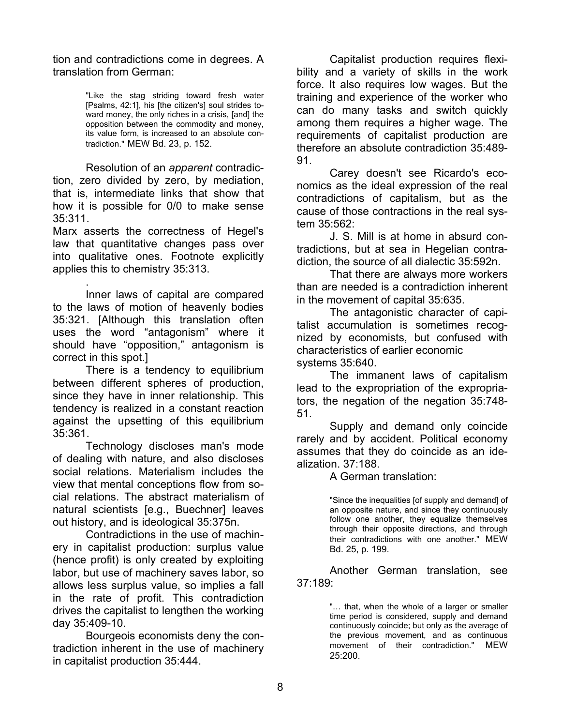tion and contradictions come in degrees. A translation from German:

> "Like the stag striding toward fresh water [Psalms, 42:1], his [the citizen's] soul strides toward money, the only riches in a crisis, [and] the opposition between the commodity and money, its value form, is increased to an absolute contradiction." MEW Bd. 23, p. 152.

Resolution of an *apparent* contradiction, zero divided by zero, by mediation, that is, intermediate links that show that how it is possible for 0/0 to make sense 35:311.

Marx asserts the correctness of Hegel's law that quantitative changes pass over into qualitative ones. Footnote explicitly applies this to chemistry 35:313.

. Inner laws of capital are compared to the laws of motion of heavenly bodies 35:321. [Although this translation often uses the word "antagonism" where it should have "opposition," antagonism is correct in this spot.]

There is a tendency to equilibrium between different spheres of production, since they have in inner relationship. This tendency is realized in a constant reaction against the upsetting of this equilibrium 35:361.

Technology discloses man's mode of dealing with nature, and also discloses social relations. Materialism includes the view that mental conceptions flow from social relations. The abstract materialism of natural scientists [e.g., Buechner] leaves out history, and is ideological 35:375n.

Contradictions in the use of machinery in capitalist production: surplus value (hence profit) is only created by exploiting labor, but use of machinery saves labor, so allows less surplus value, so implies a fall in the rate of profit. This contradiction drives the capitalist to lengthen the working day 35:409-10.

Bourgeois economists deny the contradiction inherent in the use of machinery in capitalist production 35:444.

Capitalist production requires flexibility and a variety of skills in the work force. It also requires low wages. But the training and experience of the worker who can do many tasks and switch quickly among them requires a higher wage. The requirements of capitalist production are therefore an absolute contradiction 35:489- 91.

Carey doesn't see Ricardo's economics as the ideal expression of the real contradictions of capitalism, but as the cause of those contractions in the real system 35:562:

J. S. Mill is at home in absurd contradictions, but at sea in Hegelian contradiction, the source of all dialectic 35:592n.

That there are always more workers than are needed is a contradiction inherent in the movement of capital 35:635.

The antagonistic character of capitalist accumulation is sometimes recognized by economists, but confused with characteristics of earlier economic systems 35:640.

The immanent laws of capitalism lead to the expropriation of the expropriators, the negation of the negation 35:748- 51.

Supply and demand only coincide rarely and by accident. Political economy assumes that they do coincide as an idealization. 37:188.

A German translation:

"Since the inequalities [of supply and demand] of an opposite nature, and since they continuously follow one another, they equalize themselves through their opposite directions, and through their contradictions with one another." MEW Bd. 25, p. 199.

Another German translation, see 37:189:

> "… that, when the whole of a larger or smaller time period is considered, supply and demand continuously coincide; but only as the average of the previous movement, and as continuous movement of their contradiction." MEW 25:200.